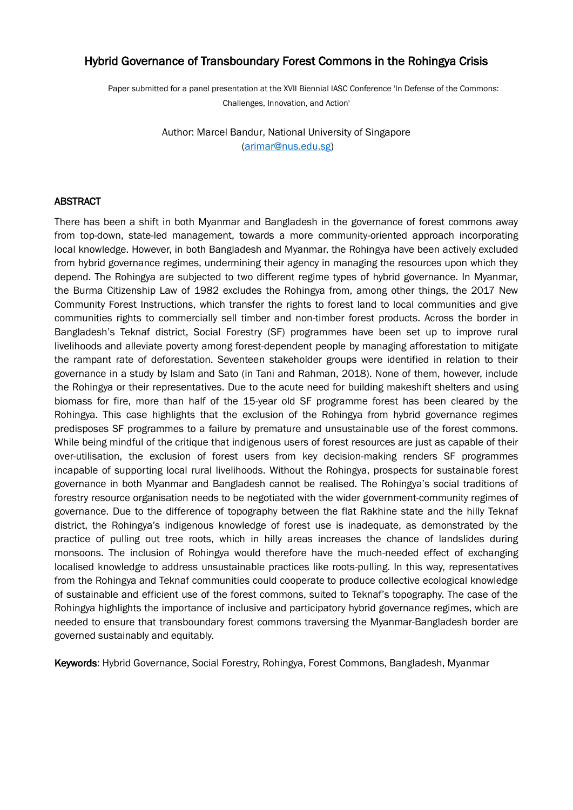# Hybrid Governance of Transboundary Forest Commons in the Rohingya Crisis

Paper submitted for a panel presentation at the XVII Biennial IASC Conference 'In Defense of the Commons: Challenges, Innovation, and Action'

> Author: Marcel Bandur, National University of Singapore [\(arimar@nus.edu.sg\)](mailto:arimar@nus.edu.sg)

# ABSTRACT

There has been a shift in both Myanmar and Bangladesh in the governance of forest commons away from top-down, state-led management, towards a more community-oriented approach incorporating local knowledge. However, in both Bangladesh and Myanmar, the Rohingya have been actively excluded from hybrid governance regimes, undermining their agency in managing the resources upon which they depend. The Rohingya are subjected to two different regime types of hybrid governance. In Myanmar, the Burma Citizenship Law of 1982 excludes the Rohingya from, among other things, the 2017 New Community Forest Instructions, which transfer the rights to forest land to local communities and give communities rights to commercially sell timber and non-timber forest products. Across the border in Bangladesh's Teknaf district, Social Forestry (SF) programmes have been set up to improve rural livelihoods and alleviate poverty among forest-dependent people by managing afforestation to mitigate the rampant rate of deforestation. Seventeen stakeholder groups were identified in relation to their governance in a study by Islam and Sato (in Tani and Rahman, 2018). None of them, however, include the Rohingya or their representatives. Due to the acute need for building makeshift shelters and using biomass for fire, more than half of the 15-year old SF programme forest has been cleared by the Rohingya. This case highlights that the exclusion of the Rohingya from hybrid governance regimes predisposes SF programmes to a failure by premature and unsustainable use of the forest commons. While being mindful of the critique that indigenous users of forest resources are just as capable of their over-utilisation, the exclusion of forest users from key decision-making renders SF programmes incapable of supporting local rural livelihoods. Without the Rohingya, prospects for sustainable forest governance in both Myanmar and Bangladesh cannot be realised. The Rohingya's social traditions of forestry resource organisation needs to be negotiated with the wider government-community regimes of governance. Due to the difference of topography between the flat Rakhine state and the hilly Teknaf district, the Rohingya's indigenous knowledge of forest use is inadequate, as demonstrated by the practice of pulling out tree roots, which in hilly areas increases the chance of landslides during monsoons. The inclusion of Rohingya would therefore have the much-needed effect of exchanging localised knowledge to address unsustainable practices like roots-pulling. In this way, representatives from the Rohingya and Teknaf communities could cooperate to produce collective ecological knowledge of sustainable and efficient use of the forest commons, suited to Teknaf's topography. The case of the Rohingya highlights the importance of inclusive and participatory hybrid governance regimes, which are needed to ensure that transboundary forest commons traversing the Myanmar-Bangladesh border are governed sustainably and equitably.

Keywords: Hybrid Governance, Social Forestry, Rohingya, Forest Commons, Bangladesh, Myanmar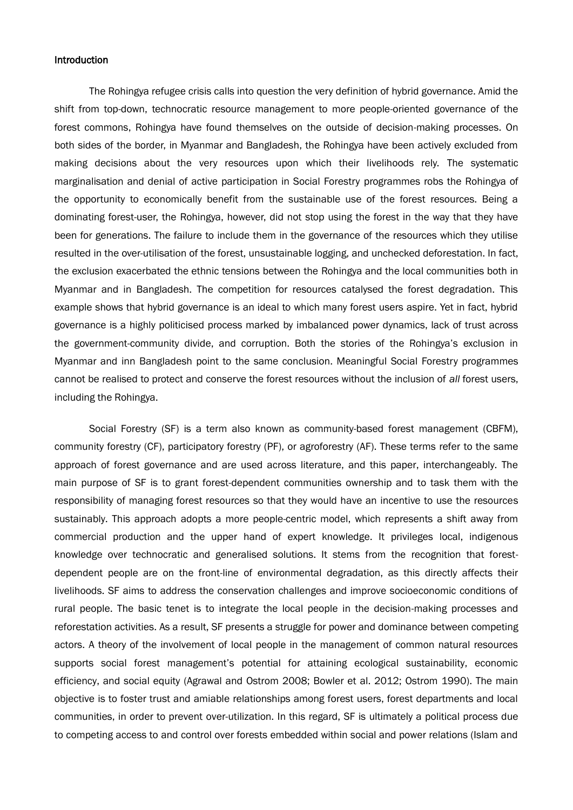### **Introduction**

The Rohingya refugee crisis calls into question the very definition of hybrid governance. Amid the shift from top-down, technocratic resource management to more people-oriented governance of the forest commons, Rohingya have found themselves on the outside of decision-making processes. On both sides of the border, in Myanmar and Bangladesh, the Rohingya have been actively excluded from making decisions about the very resources upon which their livelihoods rely. The systematic marginalisation and denial of active participation in Social Forestry programmes robs the Rohingya of the opportunity to economically benefit from the sustainable use of the forest resources. Being a dominating forest-user, the Rohingya, however, did not stop using the forest in the way that they have been for generations. The failure to include them in the governance of the resources which they utilise resulted in the over-utilisation of the forest, unsustainable logging, and unchecked deforestation. In fact, the exclusion exacerbated the ethnic tensions between the Rohingya and the local communities both in Myanmar and in Bangladesh. The competition for resources catalysed the forest degradation. This example shows that hybrid governance is an ideal to which many forest users aspire. Yet in fact, hybrid governance is a highly politicised process marked by imbalanced power dynamics, lack of trust across the government-community divide, and corruption. Both the stories of the Rohingya's exclusion in Myanmar and inn Bangladesh point to the same conclusion. Meaningful Social Forestry programmes cannot be realised to protect and conserve the forest resources without the inclusion of *all* forest users, including the Rohingya.

Social Forestry (SF) is a term also known as community-based forest management (CBFM), community forestry (CF), participatory forestry (PF), or agroforestry (AF). These terms refer to the same approach of forest governance and are used across literature, and this paper, interchangeably. The main purpose of SF is to grant forest-dependent communities ownership and to task them with the responsibility of managing forest resources so that they would have an incentive to use the resources sustainably. This approach adopts a more people-centric model, which represents a shift away from commercial production and the upper hand of expert knowledge. It privileges local, indigenous knowledge over technocratic and generalised solutions. It stems from the recognition that forestdependent people are on the front-line of environmental degradation, as this directly affects their livelihoods. SF aims to address the conservation challenges and improve socioeconomic conditions of rural people. The basic tenet is to integrate the local people in the decision-making processes and reforestation activities. As a result, SF presents a struggle for power and dominance between competing actors. A theory of the involvement of local people in the management of common natural resources supports social forest management's potential for attaining ecological sustainability, economic efficiency, and social equity (Agrawal and Ostrom 2008; Bowler et al. 2012; Ostrom 1990). The main objective is to foster trust and amiable relationships among forest users, forest departments and local communities, in order to prevent over-utilization. In this regard, SF is ultimately a political process due to competing access to and control over forests embedded within social and power relations (Islam and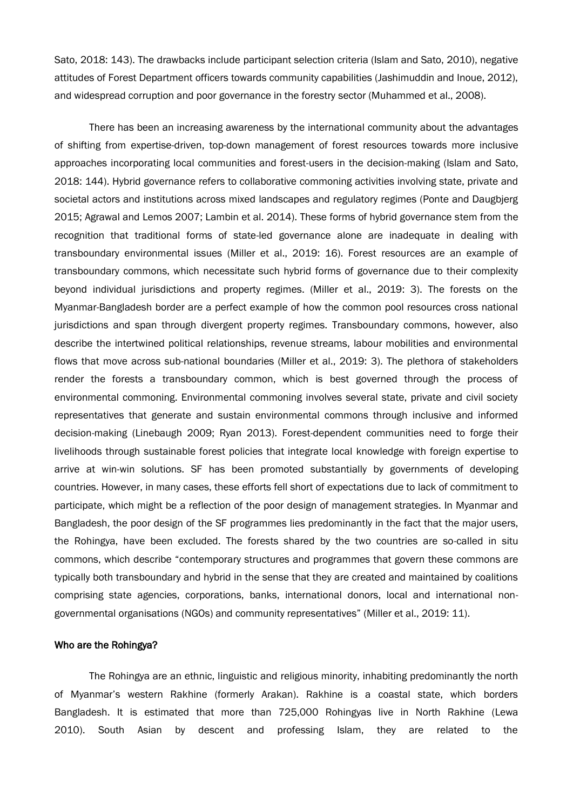Sato, 2018: 143). The drawbacks include participant selection criteria (Islam and Sato, 2010), negative attitudes of Forest Department officers towards community capabilities (Jashimuddin and Inoue, 2012), and widespread corruption and poor governance in the forestry sector (Muhammed et al., 2008).

There has been an increasing awareness by the international community about the advantages of shifting from expertise-driven, top-down management of forest resources towards more inclusive approaches incorporating local communities and forest-users in the decision-making (Islam and Sato, 2018: 144). Hybrid governance refers to collaborative commoning activities involving state, private and societal actors and institutions across mixed landscapes and regulatory regimes (Ponte and Daugbjerg 2015; Agrawal and Lemos 2007; Lambin et al. 2014). These forms of hybrid governance stem from the recognition that traditional forms of state-led governance alone are inadequate in dealing with transboundary environmental issues (Miller et al., 2019: 16). Forest resources are an example of transboundary commons, which necessitate such hybrid forms of governance due to their complexity beyond individual jurisdictions and property regimes. (Miller et al., 2019: 3). The forests on the Myanmar-Bangladesh border are a perfect example of how the common pool resources cross national jurisdictions and span through divergent property regimes. Transboundary commons, however, also describe the intertwined political relationships, revenue streams, labour mobilities and environmental flows that move across sub-national boundaries (Miller et al., 2019: 3). The plethora of stakeholders render the forests a transboundary common, which is best governed through the process of environmental commoning. Environmental commoning involves several state, private and civil society representatives that generate and sustain environmental commons through inclusive and informed decision-making (Linebaugh 2009; Ryan 2013). Forest-dependent communities need to forge their livelihoods through sustainable forest policies that integrate local knowledge with foreign expertise to arrive at win-win solutions. SF has been promoted substantially by governments of developing countries. However, in many cases, these efforts fell short of expectations due to lack of commitment to participate, which might be a reflection of the poor design of management strategies. In Myanmar and Bangladesh, the poor design of the SF programmes lies predominantly in the fact that the major users, the Rohingya, have been excluded. The forests shared by the two countries are so-called in situ commons, which describe "contemporary structures and programmes that govern these commons are typically both transboundary and hybrid in the sense that they are created and maintained by coalitions comprising state agencies, corporations, banks, international donors, local and international nongovernmental organisations (NGOs) and community representatives" (Miller et al., 2019: 11).

### Who are the Rohingya?

The Rohingya are an ethnic, linguistic and religious minority, inhabiting predominantly the north of Myanmar's western Rakhine (formerly Arakan). Rakhine is a coastal state, which borders Bangladesh. It is estimated that more than 725,000 Rohingyas live in North Rakhine (Lewa 2010). South Asian by descent and professing Islam, they are related to the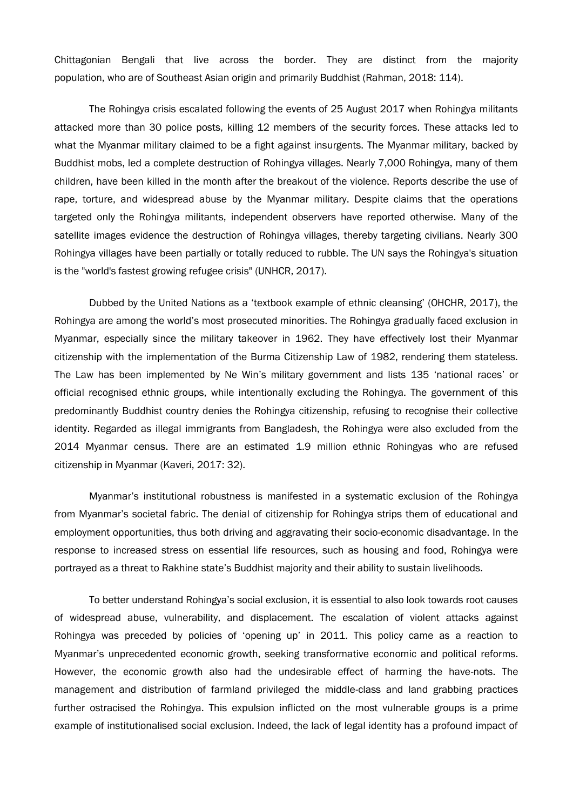Chittagonian Bengali that live across the border. They are distinct from the majority population, who are of Southeast Asian origin and primarily Buddhist (Rahman, 2018: 114).

The Rohingya crisis escalated following the events of 25 August 2017 when Rohingya militants attacked more than 30 police posts, killing 12 members of the security forces. These attacks led to what the Myanmar military claimed to be a fight against insurgents. The Myanmar military, backed by Buddhist mobs, led a complete destruction of Rohingya villages. Nearly 7,000 Rohingya, many of them children, have been killed in the month after the breakout of the violence. Reports describe the use of rape, torture, and widespread abuse by the Myanmar military. Despite claims that the operations targeted only the Rohingya militants, independent observers have reported otherwise. Many of the satellite images evidence the destruction of Rohingya villages, thereby targeting civilians. Nearly 300 Rohingya villages have been partially or totally reduced to rubble. The UN says the Rohingya's situation is the "world's fastest growing refugee crisis" (UNHCR, 2017).

Dubbed by the United Nations as a 'textbook example of ethnic cleansing' (OHCHR, 2017), the Rohingya are among the world's most prosecuted minorities. The Rohingya gradually faced exclusion in Myanmar, especially since the military takeover in 1962. They have effectively lost their Myanmar citizenship with the implementation of the Burma Citizenship Law of 1982, rendering them stateless. The Law has been implemented by Ne Win's military government and lists 135 'national races' or official recognised ethnic groups, while intentionally excluding the Rohingya. The government of this predominantly Buddhist country denies the Rohingya citizenship, refusing to recognise their collective identity. Regarded as illegal immigrants from Bangladesh, the Rohingya were also excluded from the 2014 Myanmar census. There are an estimated 1.9 million ethnic Rohingyas who are refused citizenship in Myanmar (Kaveri, 2017: 32).

Myanmar's institutional robustness is manifested in a systematic exclusion of the Rohingya from Myanmar's societal fabric. The denial of citizenship for Rohingya strips them of educational and employment opportunities, thus both driving and aggravating their socio-economic disadvantage. In the response to increased stress on essential life resources, such as housing and food, Rohingya were portrayed as a threat to Rakhine state's Buddhist majority and their ability to sustain livelihoods.

To better understand Rohingya's social exclusion, it is essential to also look towards root causes of widespread abuse, vulnerability, and displacement. The escalation of violent attacks against Rohingya was preceded by policies of 'opening up' in 2011. This policy came as a reaction to Myanmar's unprecedented economic growth, seeking transformative economic and political reforms. However, the economic growth also had the undesirable effect of harming the have-nots. The management and distribution of farmland privileged the middle-class and land grabbing practices further ostracised the Rohingya. This expulsion inflicted on the most vulnerable groups is a prime example of institutionalised social exclusion. Indeed, the lack of legal identity has a profound impact of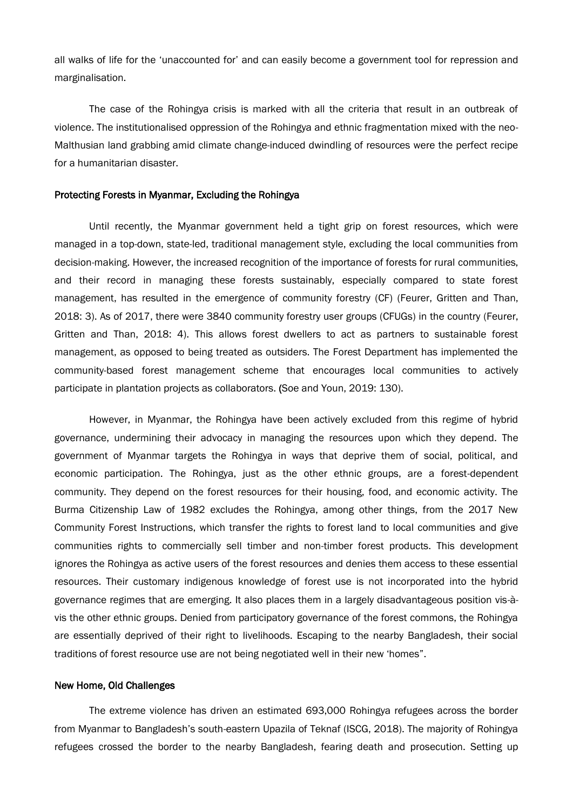all walks of life for the 'unaccounted for' and can easily become a government tool for repression and marginalisation.

The case of the Rohingya crisis is marked with all the criteria that result in an outbreak of violence. The institutionalised oppression of the Rohingya and ethnic fragmentation mixed with the neo-Malthusian land grabbing amid climate change-induced dwindling of resources were the perfect recipe for a humanitarian disaster.

## Protecting Forests in Myanmar, Excluding the Rohingya

Until recently, the Myanmar government held a tight grip on forest resources, which were managed in a top-down, state-led, traditional management style, excluding the local communities from decision-making. However, the increased recognition of the importance of forests for rural communities, and their record in managing these forests sustainably, especially compared to state forest management, has resulted in the emergence of community forestry (CF) (Feurer, Gritten and Than, 2018: 3). As of 2017, there were 3840 community forestry user groups (CFUGs) in the country (Feurer, Gritten and Than, 2018: 4). This allows forest dwellers to act as partners to sustainable forest management, as opposed to being treated as outsiders. The Forest Department has implemented the community-based forest management scheme that encourages local communities to actively participate in plantation projects as collaborators. (Soe and Youn, 2019: 130).

However, in Myanmar, the Rohingya have been actively excluded from this regime of hybrid governance, undermining their advocacy in managing the resources upon which they depend. The government of Myanmar targets the Rohingya in ways that deprive them of social, political, and economic participation. The Rohingya, just as the other ethnic groups, are a forest-dependent community. They depend on the forest resources for their housing, food, and economic activity. The Burma Citizenship Law of 1982 excludes the Rohingya, among other things, from the 2017 New Community Forest Instructions, which transfer the rights to forest land to local communities and give communities rights to commercially sell timber and non-timber forest products. This development ignores the Rohingya as active users of the forest resources and denies them access to these essential resources. Their customary indigenous knowledge of forest use is not incorporated into the hybrid governance regimes that are emerging. It also places them in a largely disadvantageous position vis-àvis the other ethnic groups. Denied from participatory governance of the forest commons, the Rohingya are essentially deprived of their right to livelihoods. Escaping to the nearby Bangladesh, their social traditions of forest resource use are not being negotiated well in their new 'homes".

#### New Home, Old Challenges

The extreme violence has driven an estimated 693,000 Rohingya refugees across the border from Myanmar to Bangladesh's south-eastern Upazila of Teknaf (ISCG, 2018). The majority of Rohingya refugees crossed the border to the nearby Bangladesh, fearing death and prosecution. Setting up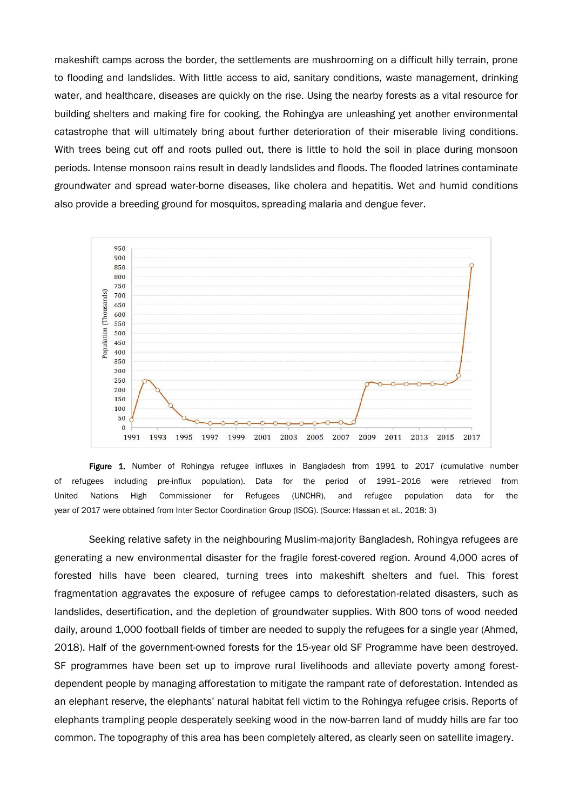makeshift camps across the border, the settlements are mushrooming on a difficult hilly terrain, prone to flooding and landslides. With little access to aid, sanitary conditions, waste management, drinking water, and healthcare, diseases are quickly on the rise. Using the nearby forests as a vital resource for building shelters and making fire for cooking, the Rohingya are unleashing yet another environmental catastrophe that will ultimately bring about further deterioration of their miserable living conditions. With trees being cut off and roots pulled out, there is little to hold the soil in place during monsoon periods. Intense monsoon rains result in deadly landslides and floods. The flooded latrines contaminate groundwater and spread water-borne diseases, like cholera and hepatitis. Wet and humid conditions also provide a breeding ground for mosquitos, spreading malaria and dengue fever.



Figure 1. Number of Rohingya refugee influxes in Bangladesh from 1991 to 2017 (cumulative number of refugees including pre-influx population). Data for the period of 1991–2016 were retrieved from United Nations High Commissioner for Refugees (UNCHR), and refugee population data for the year of 2017 were obtained from Inter Sector Coordination Group (ISCG). (Source: Hassan et al., 2018: 3)

Seeking relative safety in the neighbouring Muslim-majority Bangladesh, Rohingya refugees are generating a new environmental disaster for the fragile forest-covered region. Around 4,000 acres of forested hills have been cleared, turning trees into makeshift shelters and fuel. This forest fragmentation aggravates the exposure of refugee camps to deforestation-related disasters, such as landslides, desertification, and the depletion of groundwater supplies. With 800 tons of wood needed daily, around 1,000 football fields of timber are needed to supply the refugees for a single year (Ahmed, 2018). Half of the government-owned forests for the 15-year old SF Programme have been destroyed. SF programmes have been set up to improve rural livelihoods and alleviate poverty among forestdependent people by managing afforestation to mitigate the rampant rate of deforestation. Intended as an elephant reserve, the elephants' natural habitat fell victim to the Rohingya refugee crisis. Reports of elephants trampling people desperately seeking wood in the now-barren land of muddy hills are far too common. The topography of this area has been completely altered, as clearly seen on satellite imagery.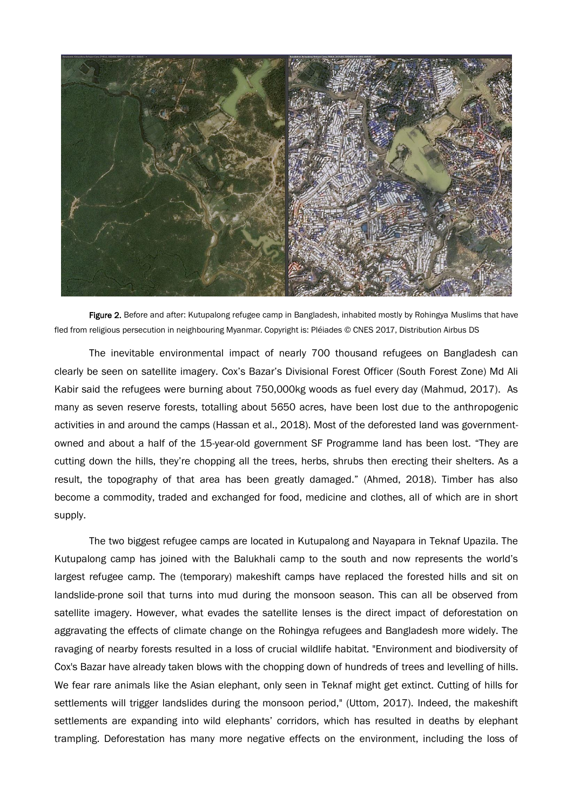

Figure 2. Before and after: Kutupalong refugee camp in Bangladesh, inhabited mostly by Rohingya Muslims that have fled from religious persecution in neighbouring Myanmar. Copyright is: Pléiades © CNES 2017, Distribution Airbus DS

The inevitable environmental impact of nearly 700 thousand refugees on Bangladesh can clearly be seen on satellite imagery. Cox's Bazar's Divisional Forest Officer (South Forest Zone) Md Ali Kabir said the refugees were burning about 750,000kg woods as fuel every day (Mahmud, 2017). As many as seven reserve forests, totalling about 5650 acres, have been lost due to the anthropogenic activities in and around the camps (Hassan et al., 2018). Most of the deforested land was governmentowned and about a half of the 15-year-old government SF Programme land has been lost. "They are cutting down the hills, they're chopping all the trees, herbs, shrubs then erecting their shelters. As a result, the topography of that area has been greatly damaged." (Ahmed, 2018). Timber has also become a commodity, traded and exchanged for food, medicine and clothes, all of which are in short supply.

The two biggest refugee camps are located in Kutupalong and Nayapara in Teknaf Upazila. The Kutupalong camp has joined with the Balukhali camp to the south and now represents the world's largest refugee camp. The (temporary) makeshift camps have replaced the forested hills and sit on landslide-prone soil that turns into mud during the monsoon season. This can all be observed from satellite imagery. However, what evades the satellite lenses is the direct impact of deforestation on aggravating the effects of climate change on the Rohingya refugees and Bangladesh more widely. The ravaging of nearby forests resulted in a loss of crucial wildlife habitat. "Environment and biodiversity of Cox's Bazar have already taken blows with the chopping down of hundreds of trees and levelling of hills. We fear rare animals like the Asian elephant, only seen in Teknaf might get extinct. Cutting of hills for settlements will trigger landslides during the monsoon period," (Uttom, 2017). Indeed, the makeshift settlements are expanding into wild elephants' corridors, which has resulted in deaths by elephant trampling. Deforestation has many more negative effects on the environment, including the loss of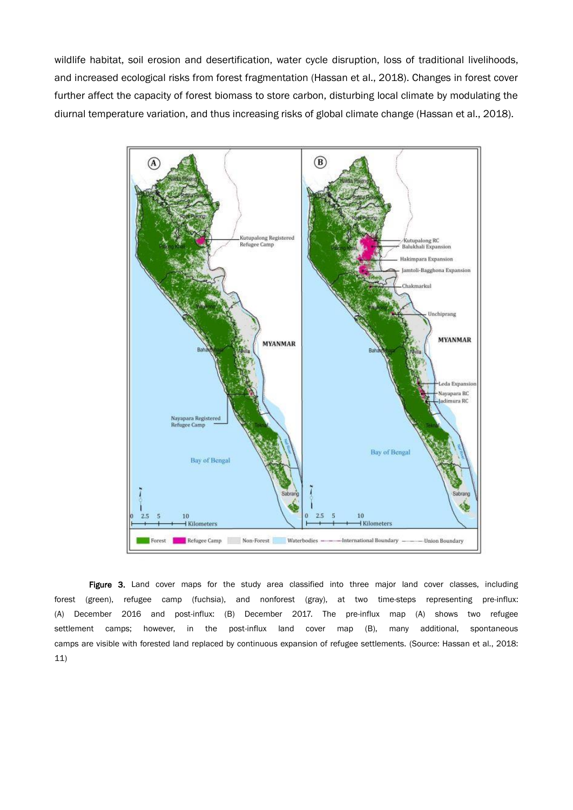wildlife habitat, soil erosion and desertification, water cycle disruption, loss of traditional livelihoods, and increased ecological risks from forest fragmentation (Hassan et al., 2018). Changes in forest cover further affect the capacity of forest biomass to store carbon, disturbing local climate by modulating the diurnal temperature variation, and thus increasing risks of global climate change (Hassan et al., 2018).



Figure 3. Land cover maps for the study area classified into three major land cover classes, including forest (green), refugee camp (fuchsia), and nonforest (gray), at two time-steps representing pre-influx: (A) December 2016 and post-influx: (B) December 2017. The pre-influx map (A) shows two refugee settlement camps; however, in the post-influx land cover map (B), many additional, spontaneous camps are visible with forested land replaced by continuous expansion of refugee settlements. (Source: Hassan et al., 2018: 11)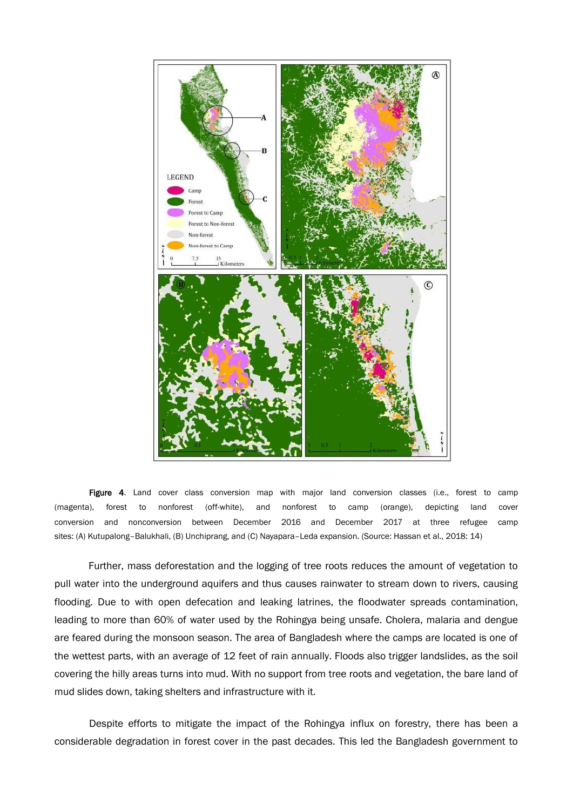

Figure 4. Land cover class conversion map with major land conversion classes (i.e., forest to camp (magenta), forest to nonforest (off-white), and nonforest to camp (orange), depicting land cover conversion and nonconversion between December 2016 and December 2017 at three refugee camp sites: (A) Kutupalong–Balukhali, (B) Unchiprang, and (C) Nayapara–Leda expansion. (Source: Hassan et al., 2018: 14)

Further, mass deforestation and the logging of tree roots reduces the amount of vegetation to pull water into the underground aquifers and thus causes rainwater to stream down to rivers, causing flooding. Due to with open defecation and leaking latrines, the floodwater spreads contamination, leading to more than 60% of water used by the Rohingya being unsafe. Cholera, malaria and dengue are feared during the monsoon season. The area of Bangladesh where the camps are located is one of the wettest parts, with an average of 12 feet of rain annually. Floods also trigger landslides, as the soil covering the hilly areas turns into mud. With no support from tree roots and vegetation, the bare land of mud slides down, taking shelters and infrastructure with it.

Despite efforts to mitigate the impact of the Rohingya influx on forestry, there has been a considerable degradation in forest cover in the past decades. This led the Bangladesh government to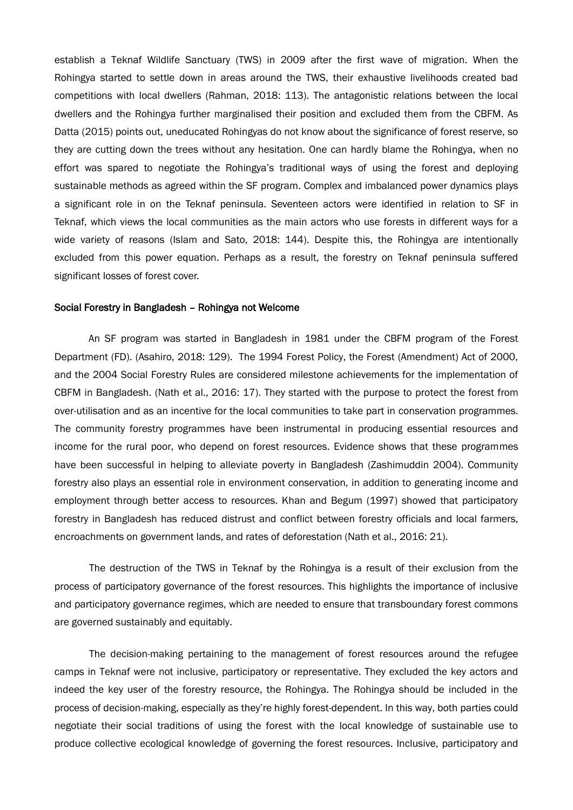establish a Teknaf Wildlife Sanctuary (TWS) in 2009 after the first wave of migration. When the Rohingya started to settle down in areas around the TWS, their exhaustive livelihoods created bad competitions with local dwellers (Rahman, 2018: 113). The antagonistic relations between the local dwellers and the Rohingya further marginalised their position and excluded them from the CBFM. As Datta (2015) points out, uneducated Rohingyas do not know about the significance of forest reserve, so they are cutting down the trees without any hesitation. One can hardly blame the Rohingya, when no effort was spared to negotiate the Rohingya's traditional ways of using the forest and deploying sustainable methods as agreed within the SF program. Complex and imbalanced power dynamics plays a significant role in on the Teknaf peninsula. Seventeen actors were identified in relation to SF in Teknaf, which views the local communities as the main actors who use forests in different ways for a wide variety of reasons (Islam and Sato, 2018: 144). Despite this, the Rohingya are intentionally excluded from this power equation. Perhaps as a result, the forestry on Teknaf peninsula suffered significant losses of forest cover.

#### Social Forestry in Bangladesh – Rohingya not Welcome

An SF program was started in Bangladesh in 1981 under the CBFM program of the Forest Department (FD). (Asahiro, 2018: 129). The 1994 Forest Policy, the Forest (Amendment) Act of 2000, and the 2004 Social Forestry Rules are considered milestone achievements for the implementation of CBFM in Bangladesh. (Nath et al., 2016: 17). They started with the purpose to protect the forest from over-utilisation and as an incentive for the local communities to take part in conservation programmes. The community forestry programmes have been instrumental in producing essential resources and income for the rural poor, who depend on forest resources. Evidence shows that these programmes have been successful in helping to alleviate poverty in Bangladesh (Zashimuddin 2004). Community forestry also plays an essential role in environment conservation, in addition to generating income and employment through better access to resources. Khan and Begum (1997) showed that participatory forestry in Bangladesh has reduced distrust and conflict between forestry officials and local farmers, encroachments on government lands, and rates of deforestation (Nath et al., 2016: 21).

The destruction of the TWS in Teknaf by the Rohingya is a result of their exclusion from the process of participatory governance of the forest resources. This highlights the importance of inclusive and participatory governance regimes, which are needed to ensure that transboundary forest commons are governed sustainably and equitably.

The decision-making pertaining to the management of forest resources around the refugee camps in Teknaf were not inclusive, participatory or representative. They excluded the key actors and indeed the key user of the forestry resource, the Rohingya. The Rohingya should be included in the process of decision-making, especially as they're highly forest-dependent. In this way, both parties could negotiate their social traditions of using the forest with the local knowledge of sustainable use to produce collective ecological knowledge of governing the forest resources. Inclusive, participatory and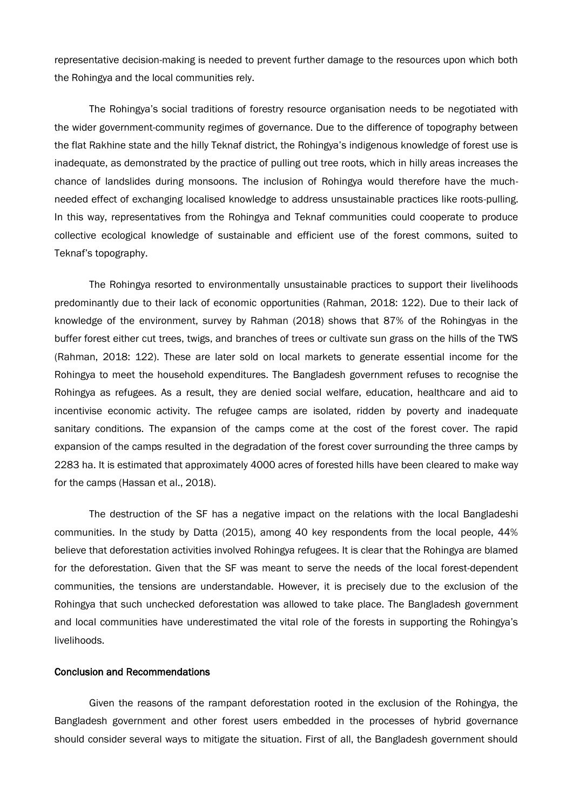representative decision-making is needed to prevent further damage to the resources upon which both the Rohingya and the local communities rely.

The Rohingya's social traditions of forestry resource organisation needs to be negotiated with the wider government-community regimes of governance. Due to the difference of topography between the flat Rakhine state and the hilly Teknaf district, the Rohingya's indigenous knowledge of forest use is inadequate, as demonstrated by the practice of pulling out tree roots, which in hilly areas increases the chance of landslides during monsoons. The inclusion of Rohingya would therefore have the muchneeded effect of exchanging localised knowledge to address unsustainable practices like roots-pulling. In this way, representatives from the Rohingya and Teknaf communities could cooperate to produce collective ecological knowledge of sustainable and efficient use of the forest commons, suited to Teknaf's topography.

The Rohingya resorted to environmentally unsustainable practices to support their livelihoods predominantly due to their lack of economic opportunities (Rahman, 2018: 122). Due to their lack of knowledge of the environment, survey by Rahman (2018) shows that 87% of the Rohingyas in the buffer forest either cut trees, twigs, and branches of trees or cultivate sun grass on the hills of the TWS (Rahman, 2018: 122). These are later sold on local markets to generate essential income for the Rohingya to meet the household expenditures. The Bangladesh government refuses to recognise the Rohingya as refugees. As a result, they are denied social welfare, education, healthcare and aid to incentivise economic activity. The refugee camps are isolated, ridden by poverty and inadequate sanitary conditions. The expansion of the camps come at the cost of the forest cover. The rapid expansion of the camps resulted in the degradation of the forest cover surrounding the three camps by 2283 ha. It is estimated that approximately 4000 acres of forested hills have been cleared to make way for the camps (Hassan et al., 2018).

The destruction of the SF has a negative impact on the relations with the local Bangladeshi communities. In the study by Datta (2015), among 40 key respondents from the local people, 44% believe that deforestation activities involved Rohingya refugees. It is clear that the Rohingya are blamed for the deforestation. Given that the SF was meant to serve the needs of the local forest-dependent communities, the tensions are understandable. However, it is precisely due to the exclusion of the Rohingya that such unchecked deforestation was allowed to take place. The Bangladesh government and local communities have underestimated the vital role of the forests in supporting the Rohingya's livelihoods.

### Conclusion and Recommendations

Given the reasons of the rampant deforestation rooted in the exclusion of the Rohingya, the Bangladesh government and other forest users embedded in the processes of hybrid governance should consider several ways to mitigate the situation. First of all, the Bangladesh government should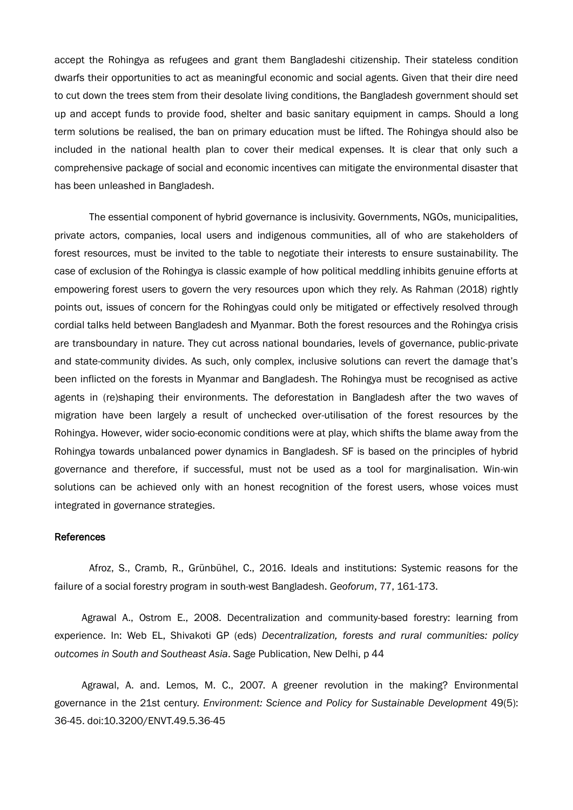accept the Rohingya as refugees and grant them Bangladeshi citizenship. Their stateless condition dwarfs their opportunities to act as meaningful economic and social agents. Given that their dire need to cut down the trees stem from their desolate living conditions, the Bangladesh government should set up and accept funds to provide food, shelter and basic sanitary equipment in camps. Should a long term solutions be realised, the ban on primary education must be lifted. The Rohingya should also be included in the national health plan to cover their medical expenses. It is clear that only such a comprehensive package of social and economic incentives can mitigate the environmental disaster that has been unleashed in Bangladesh.

The essential component of hybrid governance is inclusivity. Governments, NGOs, municipalities, private actors, companies, local users and indigenous communities, all of who are stakeholders of forest resources, must be invited to the table to negotiate their interests to ensure sustainability. The case of exclusion of the Rohingya is classic example of how political meddling inhibits genuine efforts at empowering forest users to govern the very resources upon which they rely. As Rahman (2018) rightly points out, issues of concern for the Rohingyas could only be mitigated or effectively resolved through cordial talks held between Bangladesh and Myanmar. Both the forest resources and the Rohingya crisis are transboundary in nature. They cut across national boundaries, levels of governance, public-private and state-community divides. As such, only complex, inclusive solutions can revert the damage that's been inflicted on the forests in Myanmar and Bangladesh. The Rohingya must be recognised as active agents in (re)shaping their environments. The deforestation in Bangladesh after the two waves of migration have been largely a result of unchecked over-utilisation of the forest resources by the Rohingya. However, wider socio-economic conditions were at play, which shifts the blame away from the Rohingya towards unbalanced power dynamics in Bangladesh. SF is based on the principles of hybrid governance and therefore, if successful, must not be used as a tool for marginalisation. Win-win solutions can be achieved only with an honest recognition of the forest users, whose voices must integrated in governance strategies.

#### References

Afroz, S., Cramb, R., Grünbühel, C., 2016. Ideals and institutions: Systemic reasons for the failure of a social forestry program in south-west Bangladesh. *Geoforum*, 77, 161-173.

Agrawal A., Ostrom E., 2008. Decentralization and community-based forestry: learning from experience. In: Web EL, Shivakoti GP (eds) *Decentralization, forests and rural communities: policy outcomes in South and Southeast Asia*. Sage Publication, New Delhi, p 44

Agrawal, A. and. Lemos, M. C., 2007. A greener revolution in the making? Environmental governance in the 21st century. *Environment: Science and Policy for Sustainable Development* 49(5): 36-45. doi:10.3200/ENVT.49.5.36-45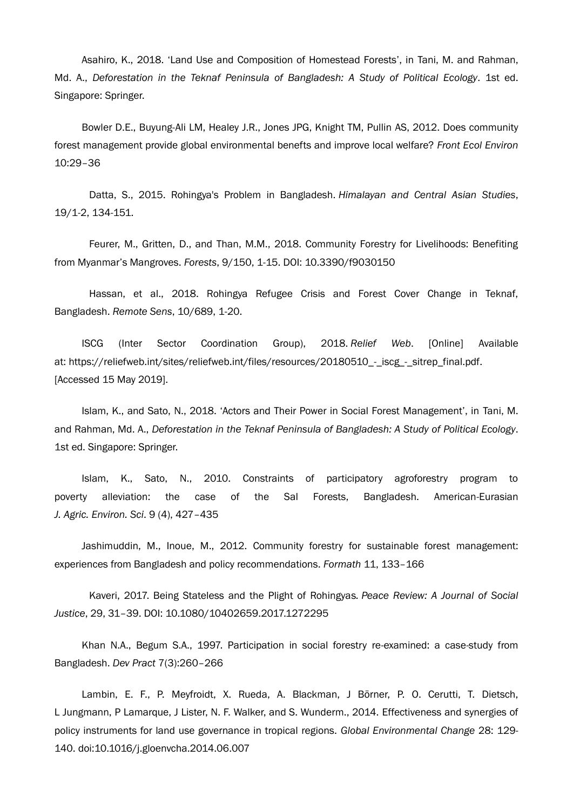Asahiro, K., 2018. 'Land Use and Composition of Homestead Forests', in Tani, M. and Rahman, Md. A., *Deforestation in the Teknaf Peninsula of Bangladesh: A Study of Political Ecology*. 1st ed. Singapore: Springer.

Bowler D.E., Buyung-Ali LM, Healey J.R., Jones JPG, Knight TM, Pullin AS, 2012. Does community forest management provide global environmental benefts and improve local welfare? *Front Ecol Environ* 10:29–36

Datta, S., 2015. Rohingya's Problem in Bangladesh. *Himalayan and Central Asian Studies*, 19/1-2, 134-151.

Feurer, M., Gritten, D., and Than, M.M., 2018. Community Forestry for Livelihoods: Benefiting from Myanmar's Mangroves. *Forests*, 9/150, 1-15. DOI: 10.3390/f9030150

Hassan, et al., 2018. Rohingya Refugee Crisis and Forest Cover Change in Teknaf, Bangladesh. *Remote Sens*, 10/689, 1-20.

ISCG (Inter Sector Coordination Group), 2018. *Relief Web*. [Online] Available at: https://reliefweb.int/sites/reliefweb.int/files/resources/20180510 - iscg - sitrep\_final.pdf. [Accessed 15 May 2019].

Islam, K., and Sato, N., 2018. 'Actors and Their Power in Social Forest Management', in Tani, M. and Rahman, Md. A., *Deforestation in the Teknaf Peninsula of Bangladesh: A Study of Political Ecology*. 1st ed. Singapore: Springer.

Islam, K., Sato, N., 2010. Constraints of participatory agroforestry program to poverty alleviation: the case of the Sal Forests, Bangladesh. American-Eurasian *J. Agric. Environ. Sci*. 9 (4), 427–435

Jashimuddin, M., Inoue, M., 2012. Community forestry for sustainable forest management: experiences from Bangladesh and policy recommendations. *Formath* 11, 133–166

Kaveri, 2017. Being Stateless and the Plight of Rohingyas*. Peace Review: A Journal of Social Justice*, 29, 31–39. DOI: 10.1080/10402659.2017.1272295

Khan N.A., Begum S.A., 1997. Participation in social forestry re-examined: a case-study from Bangladesh. *Dev Pract* 7(3):260–266

Lambin, E. F., P. Meyfroidt, X. Rueda, A. Blackman, J Börner, P. O. Cerutti, T. Dietsch, L Jungmann, P Lamarque, J Lister, N. F. Walker, and S. Wunderm., 2014. Effectiveness and synergies of policy instruments for land use governance in tropical regions. *Global Environmental Change* 28: 129- 140. doi:10.1016/j.gloenvcha.2014.06.007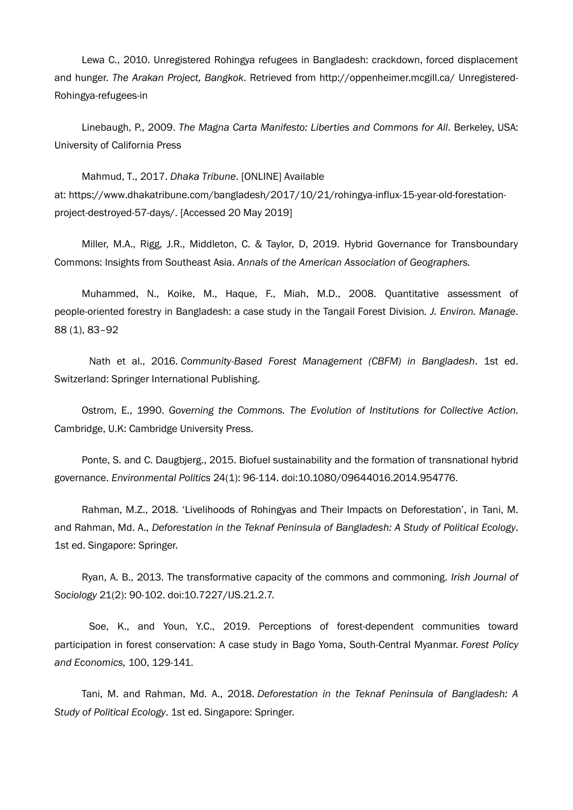Lewa C., 2010. Unregistered Rohingya refugees in Bangladesh: crackdown, forced displacement and hunger. *The Arakan Project, Bangkok*. Retrieved from http://oppenheimer.mcgill.ca/ Unregistered-Rohingya-refugees-in

Linebaugh, P., 2009. *The Magna Carta Manifesto: Liberties and Commons for All*. Berkeley, USA: University of California Press

Mahmud, T., 2017. *Dhaka Tribune*. [ONLINE] Available at: [https://www.dhakatribune.com/bangladesh/2017/10/21/rohingya-influx-15-year-old-forestation](https://www.dhakatribune.com/bangladesh/2017/10/21/rohingya-influx-15-year-old-forestation-project-destroyed-57-days/)[project-destroyed-57-days/.](https://www.dhakatribune.com/bangladesh/2017/10/21/rohingya-influx-15-year-old-forestation-project-destroyed-57-days/) [Accessed 20 May 2019]

Miller, M.A., Rigg, J.R., Middleton, C. & Taylor, D, 2019. Hybrid Governance for Transboundary Commons: Insights from Southeast Asia. *Annals of the American Association of Geographers.*

Muhammed, N., Koike, M., Haque, F., Miah, M.D., 2008. Quantitative assessment of people-oriented forestry in Bangladesh: a case study in the Tangail Forest Division*. J. Environ. Manage*. 88 (1), 83–92

Nath et al., 2016. *Community-Based Forest Management (CBFM) in Bangladesh*. 1st ed. Switzerland: Springer International Publishing.

Ostrom, E., 1990. *Governing the Commons. The Evolution of Institutions for Collective Action*. Cambridge, U.K: Cambridge University Press.

Ponte, S. and C. Daugbjerg., 2015. Biofuel sustainability and the formation of transnational hybrid governance. *Environmental Politics* 24(1): 96-114. doi:10.1080/09644016.2014.954776.

Rahman, M.Z., 2018. 'Livelihoods of Rohingyas and Their Impacts on Deforestation', in Tani, M. and Rahman, Md. A., *Deforestation in the Teknaf Peninsula of Bangladesh: A Study of Political Ecology*. 1st ed. Singapore: Springer.

Ryan, A. B., 2013. The transformative capacity of the commons and commoning. *Irish Journal of Sociology* 21(2): 90-102. doi:10.7227/IJS.21.2.7.

Soe, K., and Youn, Y.C., 2019. Perceptions of forest-dependent communities toward participation in forest conservation: A case study in Bago Yoma, South-Central Myanmar. *Forest Policy and Economics,* 100, 129-141.

Tani, M. and Rahman, Md. A., 2018. *Deforestation in the Teknaf Peninsula of Bangladesh: A Study of Political Ecology*. 1st ed. Singapore: Springer.